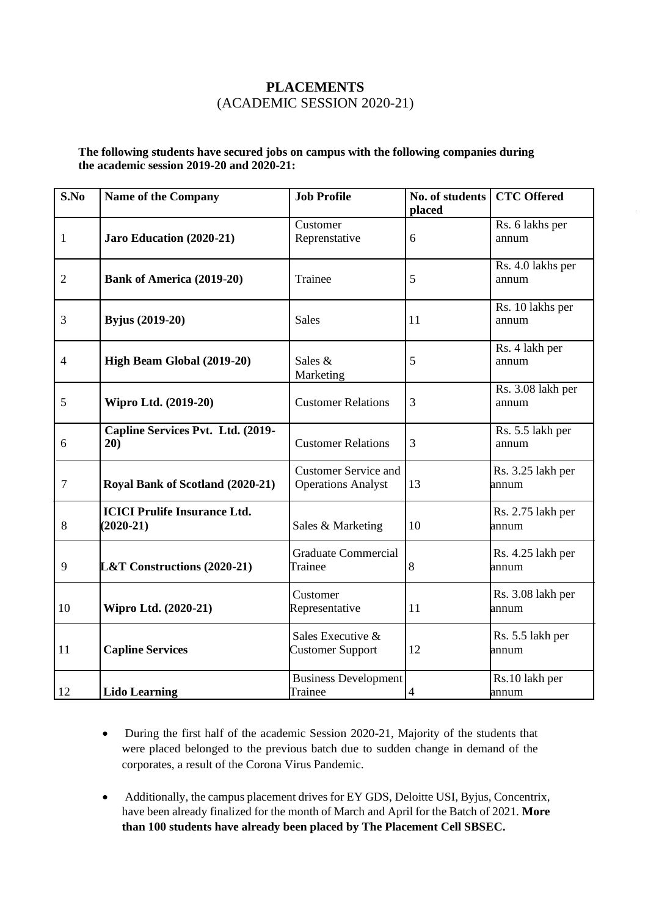## **PLACEMENTS** (ACADEMIC SESSION 2020-21)

## **The following students have secured jobs on campus with the following companies during the academic session 2019-20 and 2020-21:**

| S.No           | <b>Name of the Company</b>                         | <b>Job Profile</b>                                       | No. of students<br>placed | <b>CTC Offered</b>         |
|----------------|----------------------------------------------------|----------------------------------------------------------|---------------------------|----------------------------|
| $\mathbf{1}$   | Jaro Education (2020-21)                           | Customer<br>Reprenstative                                | 6                         | Rs. 6 lakhs per<br>annum   |
| $\overline{2}$ | <b>Bank of America (2019-20)</b>                   | Trainee                                                  | 5                         | Rs. 4.0 lakhs per<br>annum |
| 3              | <b>Byjus</b> (2019-20)                             | <b>Sales</b>                                             | 11                        | Rs. 10 lakhs per<br>annum  |
| 4              | High Beam Global (2019-20)                         | Sales &<br>Marketing                                     | 5                         | Rs. 4 lakh per<br>annum    |
| 5              | <b>Wipro Ltd.</b> (2019-20)                        | <b>Customer Relations</b>                                | 3                         | Rs. 3.08 lakh per<br>annum |
| 6              | Capline Services Pvt. Ltd. (2019-<br>20)           | <b>Customer Relations</b>                                | 3                         | Rs. 5.5 lakh per<br>annum  |
| 7              | Royal Bank of Scotland (2020-21)                   | <b>Customer Service and</b><br><b>Operations Analyst</b> | 13                        | Rs. 3.25 lakh per<br>annum |
| 8              | <b>ICICI Prulife Insurance Ltd.</b><br>$(2020-21)$ | Sales & Marketing                                        | 10                        | Rs. 2.75 lakh per<br>annum |
| 9              | <b>L&amp;T Constructions (2020-21)</b>             | <b>Graduate Commercial</b><br>Trainee                    | 8                         | Rs. 4.25 lakh per<br>annum |
| 10             | Wipro Ltd. (2020-21)                               | Customer<br>Representative                               | 11                        | Rs. 3.08 lakh per<br>annum |
| 11             | <b>Capline Services</b>                            | Sales Executive &<br><b>Customer Support</b>             | 12                        | Rs. 5.5 lakh per<br>annum  |
| 12             | <b>Lido Learning</b>                               | <b>Business Development</b><br>Trainee                   | $\overline{4}$            | Rs.10 lakh per<br>annum    |

- During the first half of the academic Session 2020-21, Majority of the students that were placed belonged to the previous batch due to sudden change in demand of the corporates, a result of the Corona Virus Pandemic.
- Additionally, the campus placement drives for EY GDS, Deloitte USI, Byjus, Concentrix, have been already finalized for the month of March and April for the Batch of 2021. **More than 100 students have already been placed by The Placement Cell SBSEC.**